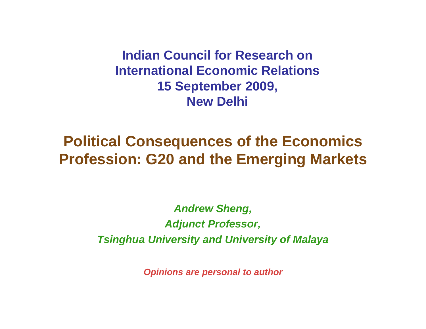**Indian Council for Research on International Economic Relations15 September 2009, New Delhi**

**Political Consequences of the Economics Profession: G20 and the Emerging Markets** 

> *Andrew Sheng, Adjunct Professor, Tsinghua University and University of Malaya*

> > *Opinions are personal to author*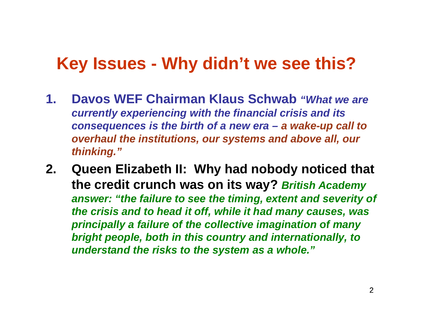## **Key Issues Issues - Why didn't we see this?**

- **1. Davos WEF Chairman Klaus Schwab** *"What we are What currently experiencing with the financial crisis and its consequences is the birth of a new era – a wake-up call to <u>overhaul the institutions, our systems and above all, our*</u> *thinking."*
- **2. Queen Elizabeth II: Why had nobody noticed that the credit crunch was on its way?** *British Academy answer: "the failure to see the timing, extent and severity of the crisis and to head it off, while it had many causes, was principally <sup>a</sup> failure of the collective imagination of many bright people, both in this country and internationally, to understand the risks to the system as a whole."*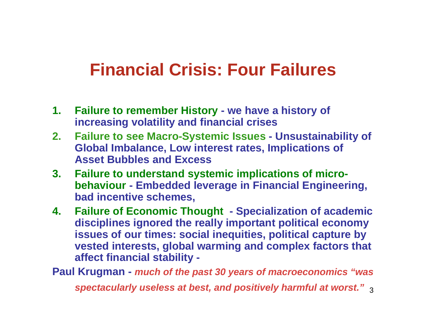## **Financial Crisis: Four Failures**

- **1. Failure to remember History - we have a history of increasing volatility and financial crises**
- **2. Failure to see Macro-Systemic Issues - Unsustainability of Global Imbalance, Low interest rates, Implications of Asset Bubbles and Excess**
- **3. Failure to understand systemic implications of microbehaviour - Embedded leverage in Financial Engineering Engineering, bad incentive schemes,**
- **4. Failure of Economic Thought - Specialization of academic**  disciplines ignored the really important political economy **issues of our times: social inequities, political capture by vested interests, global warming and complex factors that affect financial stability -**

**P lK Paul Krugman -** *much of the past 30 years of macroeconomics "was*  3*spectacularly useless at best, and positively harmful at worst."*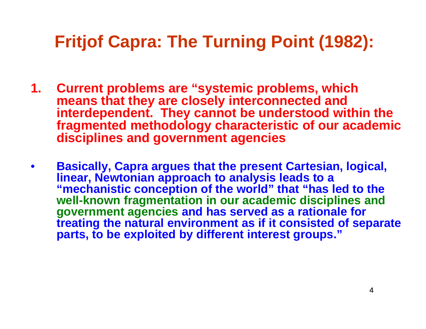# **Fritjof Capra: The Turning Point (1982):**

- **1. Current problems are "systemic problems, which means that they are closely interconnected and they interdependent. They cannot be understood within the fragmented methodology characteristic of our academic disci pg g lines and government a gencies**
- $\bullet$  **Basically, Capra argues that the present Cartesian, logical, linear, Newtonian approach to analysis leads to a**  "mechanistic conception of the world" that "has led to the **well-known fragmentation in our academic disciplines and government agencies and has served as a rationale for treating the natural environment as if it consisted of separate parts, to be exploited by different interest groups."**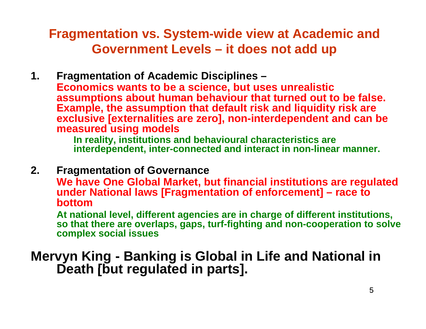#### **Fragmentation vs. System-wide view at Academic and Government Levels – it does not add up**

**1. Fragmentation of Academic Disciplines – Economics wants to be a science, but uses unrealistic assum ptions about human behaviour that turned out to be false. Example, the assumption that default risk and liquidity risk are exclusive [externalities are zero], non-interdependent and can be measured using models**

**In reality, institutions and behavioural characteristics are interdependent, inter-connected and interact in non-linear manner.** 

#### **2. Fragmentation of Governance**

**We have One Global Market, but financial institutions are regulated Market, under National laws [Fragmentation of enforcement] – race to bottom**

**At national level, different agencies are in charge of different institutions,**  so that there are overlaps, gaps, turf-fighting and non-cooperation to solve **complex social issues**

#### **Mervyn King - Banking is Global in Life and National in Death [but regulated in parts] parts].**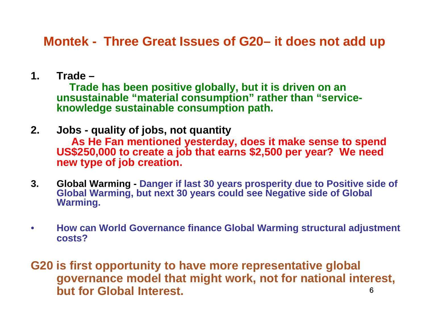#### **Montek - Three Great Issues of G20– it does not add up**

**1. Trade –**

**Trade has been positive globally, but it is driven on an unsustainable "material consum ption" rather than "serviceknowledge sustainable consumption path.** 

- **2. Jobs - quality of jobs, not quantity**  As He Fan mentioned yesterday, does it make sense to spend<br>US\$250,000 to create a job that earns \$2,500 per year? We need **new type of job creation.**
- 3. Global Warming Danger if last 30 years prosperity due to Positive side of **Global Warming, but next 30 years could see Negative side of Global Warming.**
- • **How can World Governance finance Global Warming structural adjustment costs?**

**G20 is first opportunity to have more representative global have more** 6**governance model that might work, not for national interest, but for Global Interest.**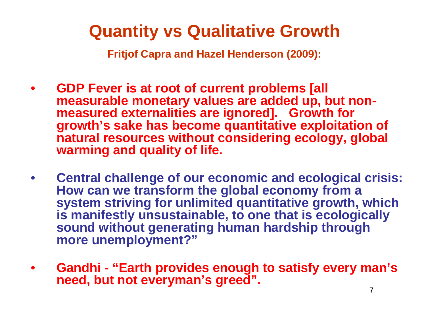# **Quantity vs Qualitative Growth**

**Fritjof Capra and Hazel Henderson (2009):**

- $\bullet$  **GDP Fever is at root of current problems [all measurable monetary values are added up but non up, measured externalities are ignored]. Growth for growth's sake has become quantitative exploitation of natural resources without considerin g gy, g ecology, global warming and quality of life.**
- •**• Central challenge of our economic and ecological crisis: How can we transform the global economy from a system striving for unlimited quantitative growth, which is manifestly unsustainable, to one that is ecologically sound without generating human hardship through generating more unemployment?"**
- $\bullet$ • Gandhi - "Earth provides enough to satisfy every man's<br>need, but not everyman's greed".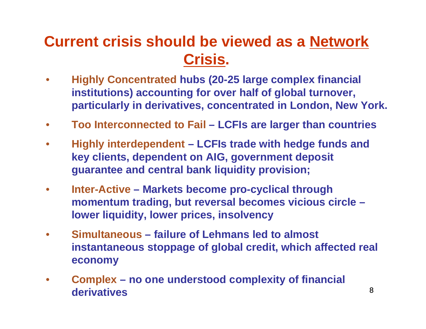#### **Current crisis should be viewed as a Network Crisis.**

- • **Highly Concentrated hubs (20-25 large complex financial institutions) accounting for over half of global turnover,**  particularly in derivatives, concentrated in London, New York.
- $\bullet$ **Too Interconnected to Fail – LCFIs are larger than countries**
- $\bullet$  **Highly interdependent – LCFIs trade with hedge funds and hedge key clients, dependent on AIG, government deposit guarantee and central bank liquidity provision;**
- $\bullet$  **Inter-Active – Markets become pro-cyclical through momentum trading, but reversal becomes vicious circle – lower liquidity, lower prices, insolvency**
- $\bullet$  **Simultaneous – failure of Lehmans led to almost instantaneous stoppage of global credit, which affected real economy**
- $\bullet$  **Complex – no one understood complexity of financial derivatives**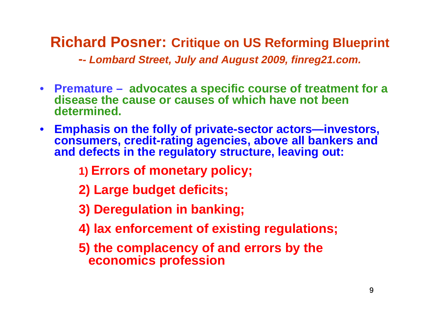#### **Richard Posner: Critique on US Reforming Blueprint**

**-***- Lombard Street July and August 2009 finreg21 com Street, 2009, finreg21.com.*

- **Premature – advocates a specific course of treatment for a disease the cause or causes of which have not been the determined.**
- **Emphasis on the folly of private-sector actors—investors, consumers, credit credit-rating agencies, above all bankers rating and and defects in the regulatory structure, leaving out:** 
	- **1) Errors of monetary policy;**
	- **2) f Large budget deficits;**
	- **3) Deregulation in banking;**
	- **4) lax enforcement of existing regulations;**
	- **5) the complacency of and errors by the economics profession**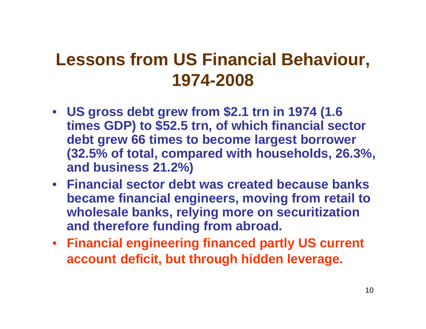# **Lessons from US Financial Behaviour, 1974-2008**

- **US gross debt grew from \$2.1 trn in 1974 (1.6 times GDP) to \$52.5 trn, of which financial sector debt grew 66 times to become largest borrower (32.5% of total, compared with households, 26.3%, and business 21.2%)**
- **Financial sector debt was created because banks became financial engineers, moving from retail to wholesale banks, relying more on securitization and therefore funding from abroad abroad.**
- **Financial engineering financed partly US current account deficit, but through hidden leverage.**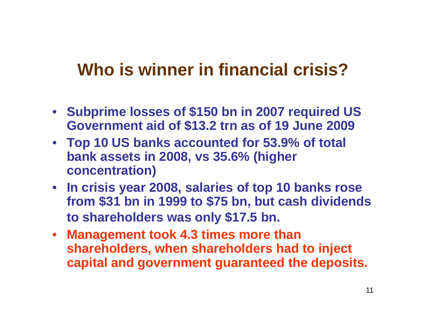# **Who is winner in financial crisis?**

- **Subprime losses of \$150 bn in 2007 required US Government aid of \$13.2 trn as of 19 June 2009**
- **Top 10 US banks accounted for 53 9% of total banks 53.9% total bank assets in 2008, vs 35.6% (higher concentration)**
- In crisis year 2008, salaries of top 10 banks rose **from \$31 bn in 1999 to \$75 bn, but cash dividends to shareholders was only \$17.5 bn.**
- **Management took 4.3 times more than shareholders, when shareholders had to inject ca pital and government guaranteed the de posits. pg g p**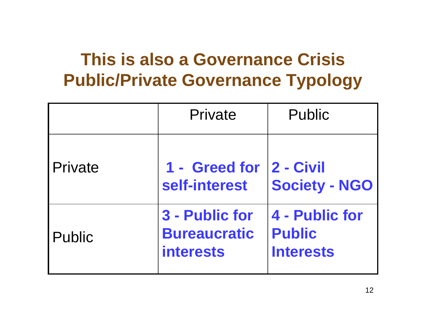# **This is also a Governance Crisis Public/Private Governance Typology**

|         | Private                                                   | Public                                              |
|---------|-----------------------------------------------------------|-----------------------------------------------------|
| Private | 1 - Greed for<br>self-interest                            | 2 - Civil<br><b>Society - NGO</b>                   |
| Public  | 3 - Public for<br><b>Bureaucratic</b><br><b>interests</b> | 4 - Public for<br><b>Public</b><br><b>Interests</b> |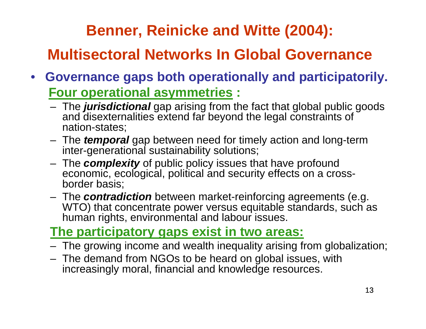## **Benner, Reinicke and Witte (2004):**

### **Multisectoral Networks In Global Governance**

- **Governance gaps both operationally and participatorily. Four operational asymmetries :** 
	- The *jurisdictional* gap arising from the fact that global public goods and disexternalities extend far beyond the legal constraints of nation-states;
	- The *temporal* gap between need for timely action and long-term inter-generational sustainability solutions;
	- The *complexity* of public policy issues that have profound economic, ecological, political and security effects on a crossborder basis;
	- The *contradiction* between market-reinforcing agreements (e.g. WTO) that concentrate power versus equitable standards, such as human rights, environmental and labour issues.

#### **The participatory gaps exist in two areas:**

- The growing income and wealth inequality arising from globalization;
- The demand from NGOs to be heard on global issues, with increasingly moral, financial and knowledge resources.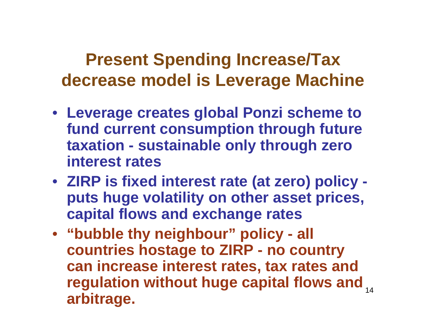# **Present Spending Increase/Tax decrease model is Leverage Machine**

- **Leverage creates global Ponzi scheme to fund current consumption through future taxation - sustainable only through zero interest rates**
- **ZIRP is fixed interest rate (at zero) policy zero) puts huge volatility on other asset prices, capital flows and exchange rates**
- **"bubble thy neighbour" policy - all countries hostage to ZIRP - no country can increase interest rates tax rates and rates,**  regulation without huge capital flows and <sub>14</sub> **arbitrage.**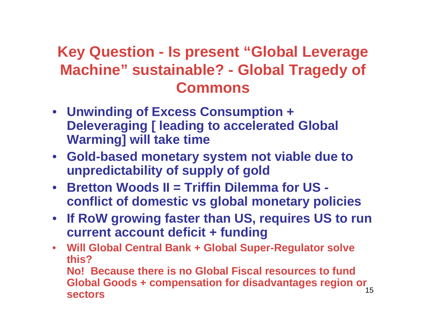### **Key Question - Is present "Global Leverage Machine" sustainable? - Global Tragedy of Commons**

- **Unwinding of Excess Consumption + Deleveraging [ leading to accelerated Global Warming] will take time**
- **Gold-based monetary system not viable due to unpredictability of supply of gold**
- Bretton Woods II = Triffin Dilemma for US **conflict of domestic vs global monetary policies**
- **If RoW growing faster than US, requires US to run current account deficit + funding**
- **Will Global Central Bank + Global Super-Regulator solve this?**

No! Because there is no Global Fiscal resources to fund 15**Global Goods + compensation for disadvantages region or sectors**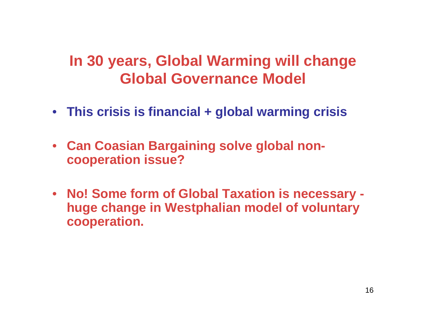### **In 30 years Global Warming will change years, Global Governance Model**

- **This crisis is financial + global warming crisis**
- **Can Coasian Bargaining solve global non cooperation issue?**
- **No! Some form of Global Taxation is necessary huge change in Westphalian model of voluntary coo peration.**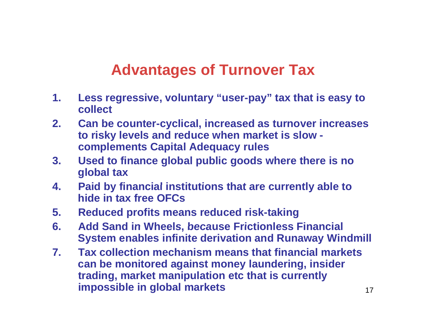### **Advantages of Turnover Tax**

- **1. Less re g, y ressive, voluntar y "user-py y a y" tax that is eas y to collect**
- **2. Can be counter-cyclical, increased as turnover increases to risky levels and reduce when market is slow compl t C it l Ad l lemen ts Capit al Adequacy rules**
- **3. Used to finance global public goods where there is no global tax**
- **4. Paid by financial institutions that are currently able to that able hide in tax free OFCs**
- **5. Reduced profits means reduced risk-taking**
- **6. Add Sand in Wheels because Frictionless Financial Wheels, Frictionless System enables infinite derivation and Runaway Windmill**
- **7. Tax collection mechanism means that financial markets can be monitored a gainst mone y laundering, insider g y g, trading, market manipulation etc that is currently impossible in global markets**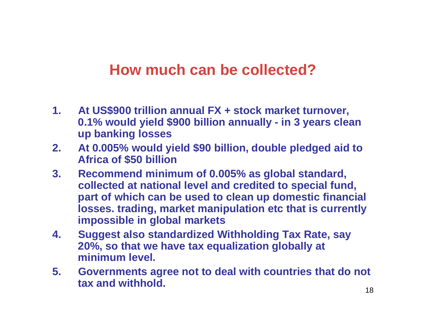#### **How much can be collected?**

- **1. At US\$900 trillion annual FX + stock market turnover, 0.1% would yield \$900 billion annually - in 3 years clean up banking losses**
- **2. At 0.005% would yield \$90 billion, double pledged aid to Africa of \$50 billion**
- **3. Recommend minimum of 0.005% as global standard, collected at national level and credited to special fund at fund, part of which can be used to clean up domestic financial losses. trading, market manipulation etc that is currently impossible in global markets**
- **4. Suggest also standardized Withholding Tax Rate, say 20%, so that we have tax equalization globally at minimum level.**
- **5. G d l ih i h d Governments agree not to deal wit h countries t hat do not tax and withhold.**